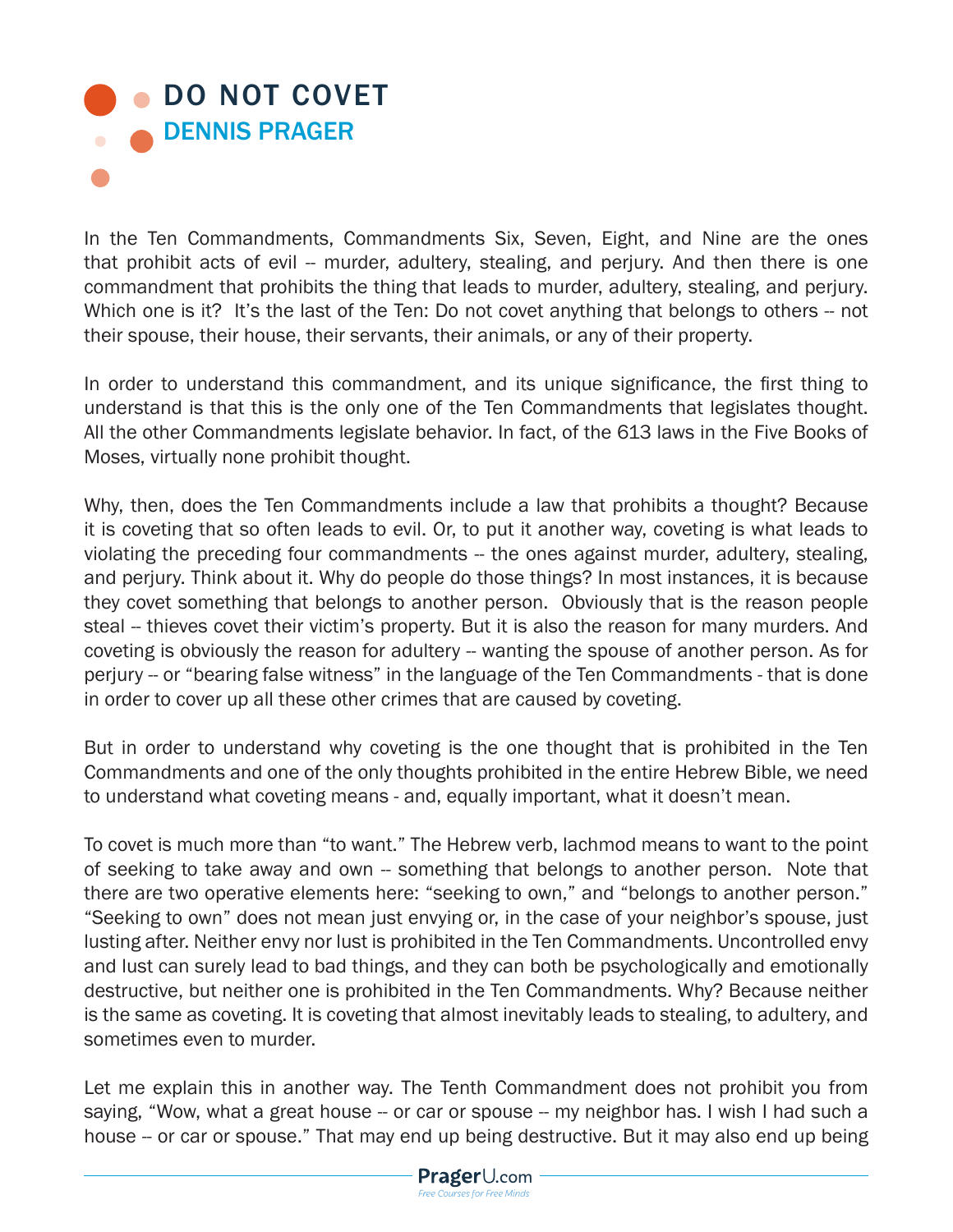## **ODO NOT COVET** DENNIS PRAGER

In the Ten Commandments, Commandments Six, Seven, Eight, and Nine are the ones that prohibit acts of evil -- murder, adultery, stealing, and perjury. And then there is one commandment that prohibits the thing that leads to murder, adultery, stealing, and perjury. Which one is it? It's the last of the Ten: Do not covet anything that belongs to others -- not their spouse, their house, their servants, their animals, or any of their property.

In order to understand this commandment, and its unique significance, the first thing to understand is that this is the only one of the Ten Commandments that legislates thought. All the other Commandments legislate behavior. In fact, of the 613 laws in the Five Books of Moses, virtually none prohibit thought.

Why, then, does the Ten Commandments include a law that prohibits a thought? Because it is coveting that so often leads to evil. Or, to put it another way, coveting is what leads to violating the preceding four commandments -- the ones against murder, adultery, stealing, and perjury. Think about it. Why do people do those things? In most instances, it is because they covet something that belongs to another person. Obviously that is the reason people steal -- thieves covet their victim's property. But it is also the reason for many murders. And coveting is obviously the reason for adultery -- wanting the spouse of another person. As for perjury -- or "bearing false witness" in the language of the Ten Commandments - that is done in order to cover up all these other crimes that are caused by coveting.

But in order to understand why coveting is the one thought that is prohibited in the Ten Commandments and one of the only thoughts prohibited in the entire Hebrew Bible, we need to understand what coveting means - and, equally important, what it doesn't mean.

To covet is much more than "to want." The Hebrew verb, lachmod means to want to the point of seeking to take away and own -- something that belongs to another person. Note that there are two operative elements here: "seeking to own," and "belongs to another person." "Seeking to own" does not mean just envying or, in the case of your neighbor's spouse, just lusting after. Neither envy nor lust is prohibited in the Ten Commandments. Uncontrolled envy and lust can surely lead to bad things, and they can both be psychologically and emotionally destructive, but neither one is prohibited in the Ten Commandments. Why? Because neither is the same as coveting. It is coveting that almost inevitably leads to stealing, to adultery, and sometimes even to murder.

Let me explain this in another way. The Tenth Commandment does not prohibit you from saying, "Wow, what a great house -- or car or spouse -- my neighbor has. I wish I had such a house -- or car or spouse." That may end up being destructive. But it may also end up being